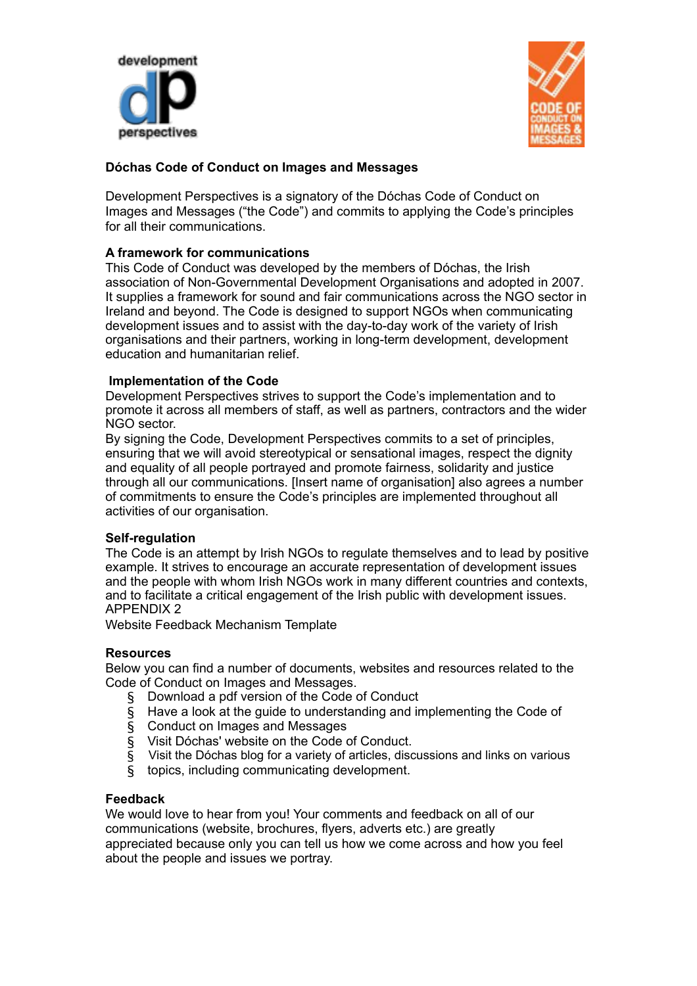



# **Dóchas Code of Conduct on Images and Messages**

Development Perspectives is a signatory of the Dóchas Code of Conduct on Images and Messages ("the Code") and commits to applying the Code's principles for all their communications.

# **A framework for communications**

This Code of Conduct was developed by the members of Dóchas, the Irish association of Non-Governmental Development Organisations and adopted in 2007. It supplies a framework for sound and fair communications across the NGO sector in Ireland and beyond. The Code is designed to support NGOs when communicating development issues and to assist with the day-to-day work of the variety of Irish organisations and their partners, working in long-term development, development education and humanitarian relief.

### **Implementation of the Code**

Development Perspectives strives to support the Code's implementation and to promote it across all members of staff, as well as partners, contractors and the wider NGO sector.

By signing the Code, Development Perspectives commits to a set of principles, ensuring that we will avoid stereotypical or sensational images, respect the dignity and equality of all people portrayed and promote fairness, solidarity and justice through all our communications. [Insert name of organisation] also agrees a number of commitments to ensure the Code's principles are implemented throughout all activities of our organisation.

### **Self-regulation**

The Code is an attempt by Irish NGOs to regulate themselves and to lead by positive example. It strives to encourage an accurate representation of development issues and the people with whom Irish NGOs work in many different countries and contexts, and to facilitate a critical engagement of the Irish public with development issues. APPENDIX 2

Website Feedback Mechanism Template

### **Resources**

Below you can find a number of documents, websites and resources related to the Code of Conduct on Images and Messages.

- § Download a pdf version of the Code of Conduct
- § Have a look at the guide to understanding and implementing the Code of
- § Conduct on Images and Messages
- § Visit Dóchas' website on the Code of Conduct.
- § Visit the Dóchas blog for a variety of articles, discussions and links on various
- § topics, including communicating development.

### **Feedback**

We would love to hear from you! Your comments and feedback on all of our communications (website, brochures, flyers, adverts etc.) are greatly appreciated because only you can tell us how we come across and how you feel about the people and issues we portray.